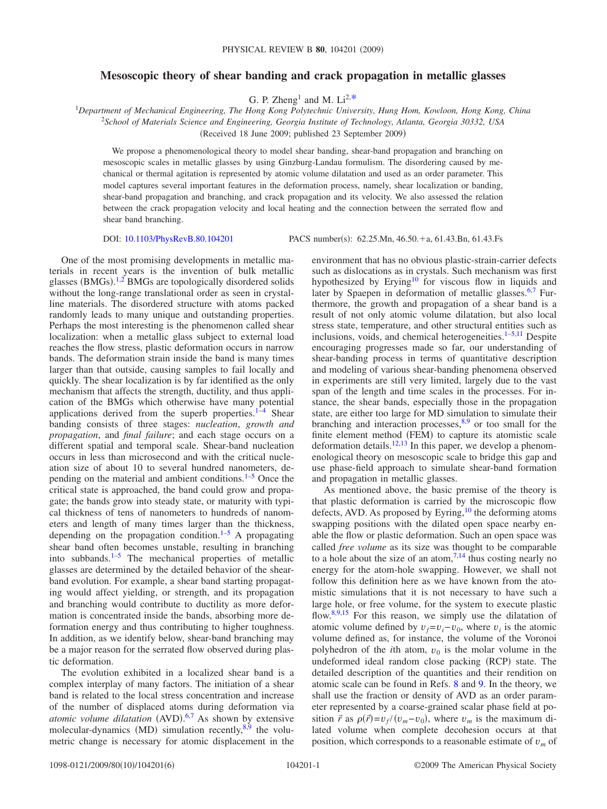## **Mesoscopic theory of shear banding and crack propagation in metallic glasses**

G. P. Zheng1 and M. Li2[,\\*](#page-5-0) <sup>1</sup> *Department of Mechanical Engineering, The Hong Kong Polytechnic University, Hung Hom, Kowloon, Hong Kong, China* 2 *School of Materials Science and Engineering, Georgia Institute of Technology, Atlanta, Georgia 30332, USA*

Received 18 June 2009; published 23 September 2009-

We propose a phenomenological theory to model shear banding, shear-band propagation and branching on mesoscopic scales in metallic glasses by using Ginzburg-Landau formulism. The disordering caused by mechanical or thermal agitation is represented by atomic volume dilatation and used as an order parameter. This model captures several important features in the deformation process, namely, shear localization or banding, shear-band propagation and branching, and crack propagation and its velocity. We also assessed the relation between the crack propagation velocity and local heating and the connection between the serrated flow and shear band branching.

DOI: [10.1103/PhysRevB.80.104201](http://dx.doi.org/10.1103/PhysRevB.80.104201)

One of the most promising developments in metallic materials in recent years is the invention of bulk metallic glasses (BMGs).<sup>[1](#page-5-1)[,2](#page-5-2)</sup> BMGs are topologically disordered solids without the long-range translational order as seen in crystalline materials. The disordered structure with atoms packed randomly leads to many unique and outstanding properties. Perhaps the most interesting is the phenomenon called shear localization: when a metallic glass subject to external load reaches the flow stress, plastic deformation occurs in narrow bands. The deformation strain inside the band is many times larger than that outside, causing samples to fail locally and quickly. The shear localization is by far identified as the only mechanism that affects the strength, ductility, and thus application of the BMGs which otherwise have many potential applications derived from the superb properties. $1-4$  Shear banding consists of three stages: *nucleation*, *growth and propagation*, and *final failure*; and each stage occurs on a different spatial and temporal scale. Shear-band nucleation occurs in less than microsecond and with the critical nucleation size of about 10 to several hundred nanometers, depending on the material and ambient conditions. $1-5$  $1-5$  Once the critical state is approached, the band could grow and propagate; the bands grow into steady state, or maturity with typical thickness of tens of nanometers to hundreds of nanometers and length of many times larger than the thickness, depending on the propagation condition. $1-5$  A propagating shear band often becomes unstable, resulting in branching into subbands. $1-5$  $1-5$  The mechanical properties of metallic glasses are determined by the detailed behavior of the shearband evolution. For example, a shear band starting propagating would affect yielding, or strength, and its propagation and branching would contribute to ductility as more deformation is concentrated inside the bands, absorbing more deformation energy and thus contributing to higher toughness. In addition, as we identify below, shear-band branching may be a major reason for the serrated flow observed during plastic deformation.

The evolution exhibited in a localized shear band is a complex interplay of many factors. The initiation of a shear band is related to the local stress concentration and increase of the number of displaced atoms during deformation via atomic volume dilatation (AVD).<sup>[6](#page-5-5)[,7](#page-5-6)</sup> As shown by extensive molecular-dynamics (MD) simulation recently,<sup>8,[9](#page-5-8)</sup> the volumetric change is necessary for atomic displacement in the

PACS number(s): 62.25.Mn, 46.50.+a, 61.43.Bn, 61.43.Fs

environment that has no obvious plastic-strain-carrier defects such as dislocations as in crystals. Such mechanism was first hypothesized by Erying<sup>10</sup> for viscous flow in liquids and later by Spaepen in deformation of metallic glasses.<sup>6[,7](#page-5-6)</sup> Furthermore, the growth and propagation of a shear band is a result of not only atomic volume dilatation, but also local stress state, temperature, and other structural entities such as inclusions, voids, and chemical heterogeneities. $1-5,11$  $1-5,11$  Despite encouraging progresses made so far, our understanding of shear-banding process in terms of quantitative description and modeling of various shear-banding phenomena observed in experiments are still very limited, largely due to the vast span of the length and time scales in the processes. For instance, the shear bands, especially those in the propagation state, are either too large for MD simulation to simulate their branching and interaction processes, $8,9$  $8,9$  or too small for the finite element method (FEM) to capture its atomistic scale deformation details.<sup>12,[13](#page-5-12)</sup> In this paper, we develop a phenomenological theory on mesoscopic scale to bridge this gap and use phase-field approach to simulate shear-band formation and propagation in metallic glasses.

As mentioned above, the basic premise of the theory is that plastic deformation is carried by the microscopic flow defects, AVD. As proposed by Eyring,  $^{10}$  the deforming atoms swapping positions with the dilated open space nearby enable the flow or plastic deformation. Such an open space was called *free volume* as its size was thought to be comparable to a hole about the size of an atom,  $7.14$  $7.14$  thus costing nearly no energy for the atom-hole swapping. However, we shall not follow this definition here as we have known from the atomistic simulations that it is not necessary to have such a large hole, or free volume, for the system to execute plastic flow. $8,9,15$  $8,9,15$  $8,9,15$  For this reason, we simply use the dilatation of atomic volume defined by  $v_f = v_i - v_0$ , where  $v_i$  is the atomic volume defined as, for instance, the volume of the Voronoi polyhedron of the *i*th atom,  $v_0$  is the molar volume in the undeformed ideal random close packing (RCP) state. The detailed description of the quantities and their rendition on atomic scale can be found in Refs. [8](#page-5-7) and [9.](#page-5-8) In the theory, we shall use the fraction or density of AVD as an order parameter represented by a coarse-grained scalar phase field at position  $\vec{r}$  as  $\rho(\vec{r}) = v_f/(v_m - v_0)$ , where  $v_m$  is the maximum dilated volume when complete decohesion occurs at that position, which corresponds to a reasonable estimate of *v<sup>m</sup>* of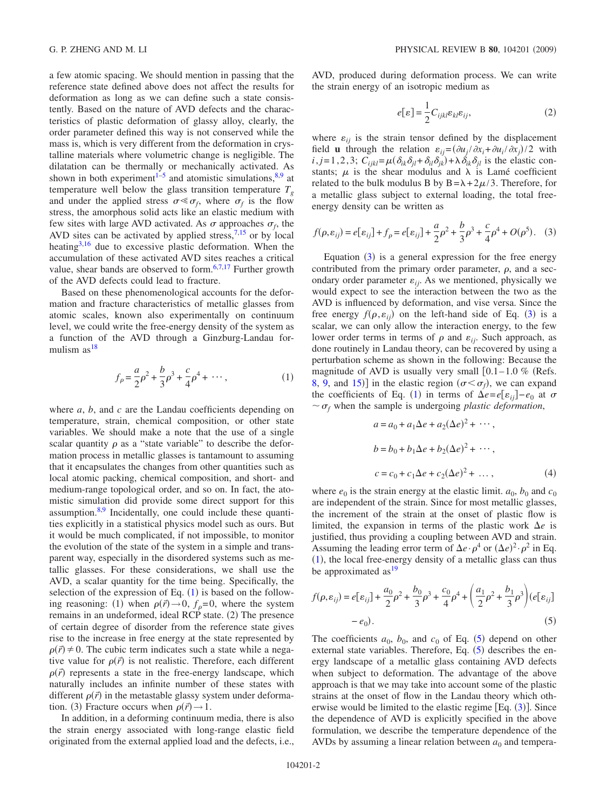a few atomic spacing. We should mention in passing that the reference state defined above does not affect the results for deformation as long as we can define such a state consistently. Based on the nature of AVD defects and the characteristics of plastic deformation of glassy alloy, clearly, the order parameter defined this way is not conserved while the mass is, which is very different from the deformation in crystalline materials where volumetric change is negligible. The dilatation can be thermally or mechanically activated. As shown in both experiment<sup>1-5</sup> and atomistic simulations,  $8,9$  $8,9$  at temperature well below the glass transition temperature  $T_g$ and under the applied stress  $\sigma \ll \sigma_f$ , where  $\sigma_f$  is the flow stress, the amorphous solid acts like an elastic medium with few sites with large AVD activated. As  $\sigma$  approaches  $\sigma_f$ , the AVD sites can be activated by applied stress,  $7,15$  $7,15$  or by local heating $3,16$  $3,16$  due to excessive plastic deformation. When the accumulation of these activated AVD sites reaches a critical value, shear bands are observed to form.<sup>6[,7,](#page-5-6)[17](#page-5-17)</sup> Further growth of the AVD defects could lead to fracture.

Based on these phenomenological accounts for the deformation and fracture characteristics of metallic glasses from atomic scales, known also experimentally on continuum level, we could write the free-energy density of the system as a function of the AVD through a Ginzburg-Landau formulism  $as^{18}$ 

$$
f_{\rho} = \frac{a}{2}\rho^2 + \frac{b}{3}\rho^3 + \frac{c}{4}\rho^4 + \cdots,\tag{1}
$$

<span id="page-1-0"></span>where *a*, *b*, and *c* are the Landau coefficients depending on temperature, strain, chemical composition, or other state variables. We should make a note that the use of a single scalar quantity  $\rho$  as a "state variable" to describe the deformation process in metallic glasses is tantamount to assuming that it encapsulates the changes from other quantities such as local atomic packing, chemical composition, and short- and medium-range topological order, and so on. In fact, the atomistic simulation did provide some direct support for this assumption. $8.9$  $8.9$  Incidentally, one could include these quantities explicitly in a statistical physics model such as ours. But it would be much complicated, if not impossible, to monitor the evolution of the state of the system in a simple and transparent way, especially in the disordered systems such as metallic glasses. For these considerations, we shall use the AVD, a scalar quantity for the time being. Specifically, the selection of the expression of Eq.  $(1)$  $(1)$  $(1)$  is based on the following reasoning: (1) when  $\rho(\vec{r}) \rightarrow 0$ ,  $f_{\rho} = 0$ , where the system remains in an undeformed, ideal RCP state. (2) The presence of certain degree of disorder from the reference state gives rise to the increase in free energy at the state represented by  $\rho(\vec{r}) \neq 0$ . The cubic term indicates such a state while a negative value for  $\rho(\vec{r})$  is not realistic. Therefore, each different  $\rho(\vec{r})$  represents a state in the free-energy landscape, which naturally includes an infinite number of these states with different  $\rho(\vec{r})$  in the metastable glassy system under deformation. (3) Fracture occurs when  $\rho(\vec{r}) \rightarrow 1$ .

In addition, in a deforming continuum media, there is also the strain energy associated with long-range elastic field originated from the external applied load and the defects, i.e.,

<span id="page-1-3"></span>AVD, produced during deformation process. We can write the strain energy of an isotropic medium as

$$
e[\varepsilon] = \frac{1}{2} C_{ijkl} \varepsilon_{kl} \varepsilon_{ij},
$$
 (2)

where  $\varepsilon_{ij}$  is the strain tensor defined by the displacement field **u** through the relation  $\varepsilon_{ij} = (\partial u_j / \partial x_i + \partial u_i / \partial x_j) / 2$  with  $i$ ,  $j = 1, 2, 3$ ;  $C_{ijkl} = \mu(\delta_{ik}\delta_{jl} + \delta_{il}\delta_{jk}) + \lambda \delta_{ik}\delta_{jl}$  is the elastic constants;  $\mu$  is the shear modulus and  $\lambda$  is Lamé coefficient related to the bulk modulus B by  $B = \lambda + 2\mu/3$ . Therefore, for a metallic glass subject to external loading, the total freeenergy density can be written as

<span id="page-1-1"></span>
$$
f(\rho, \varepsilon_{ij}) = e[\varepsilon_{ij}] + f_{\rho} = e[\varepsilon_{ij}] + \frac{a}{2}\rho^2 + \frac{b}{3}\rho^3 + \frac{c}{4}\rho^4 + O(\rho^5). \quad (3)
$$

Equation  $(3)$  $(3)$  $(3)$  is a general expression for the free energy contributed from the primary order parameter,  $\rho$ , and a secondary order parameter  $\varepsilon_{ij}$ . As we mentioned, physically we would expect to see the interaction between the two as the AVD is influenced by deformation, and vise versa. Since the free energy  $f(\rho, \varepsilon_{ij})$  on the left-hand side of Eq. ([3](#page-1-1)) is a scalar, we can only allow the interaction energy, to the few lower order terms in terms of  $\rho$  and  $\varepsilon_{ij}$ . Such approach, as done routinely in Landau theory, can be recovered by using a perturbation scheme as shown in the following: Because the magnitude of AVD is usually very small  $[0.1-1.0 \%$  (Refs. [8,](#page-5-7) [9,](#page-5-8) and [15](#page-5-14))] in the elastic region  $(\sigma < \sigma_f)$ , we can expand the coefficients of Eq. ([1](#page-1-0)) in terms of  $\Delta e = e[\varepsilon_{ij}] - e_0$  at  $\sigma$  $\sim \sigma_f$  when the sample is undergoing *plastic deformation*,

$$
a = a_0 + a_1 \Delta e + a_2 (\Delta e)^2 + \cdots,
$$
  
\n
$$
b = b_0 + b_1 \Delta e + b_2 (\Delta e)^2 + \cdots,
$$
  
\n
$$
c = c_0 + c_1 \Delta e + c_2 (\Delta e)^2 + \cdots,
$$
  
\n(4)

where  $e_0$  is the strain energy at the elastic limit.  $a_0$ ,  $b_0$  and  $c_0$ are independent of the strain. Since for most metallic glasses, the increment of the strain at the onset of plastic flow is limited, the expansion in terms of the plastic work  $\Delta e$  is justified, thus providing a coupling between AVD and strain. Assuming the leading error term of  $\Delta e \cdot \rho^4$  or  $(\Delta e)^2 \cdot \rho^2$  in Eq.  $(1)$  $(1)$  $(1)$ , the local free-energy density of a metallic glass can thus be approximated  $as<sup>19</sup>$ 

<span id="page-1-2"></span>
$$
f(\rho, \varepsilon_{ij}) = e[\varepsilon_{ij}] + \frac{a_0}{2}\rho^2 + \frac{b_0}{3}\rho^3 + \frac{c_0}{4}\rho^4 + \left(\frac{a_1}{2}\rho^2 + \frac{b_1}{3}\rho^3\right)(e[\varepsilon_{ij}] - e_0).
$$
 (5)

The coefficients  $a_0$ ,  $b_0$ , and  $c_0$  of Eq. ([5](#page-1-2)) depend on other external state variables. Therefore, Eq.  $(5)$  $(5)$  $(5)$  describes the energy landscape of a metallic glass containing AVD defects when subject to deformation. The advantage of the above approach is that we may take into account some of the plastic strains at the onset of flow in the Landau theory which otherwise would be limited to the elastic regime  $[Eq. (3)]$  $[Eq. (3)]$  $[Eq. (3)]$ . Since the dependence of AVD is explicitly specified in the above formulation, we describe the temperature dependence of the AVDs by assuming a linear relation between  $a_0$  and tempera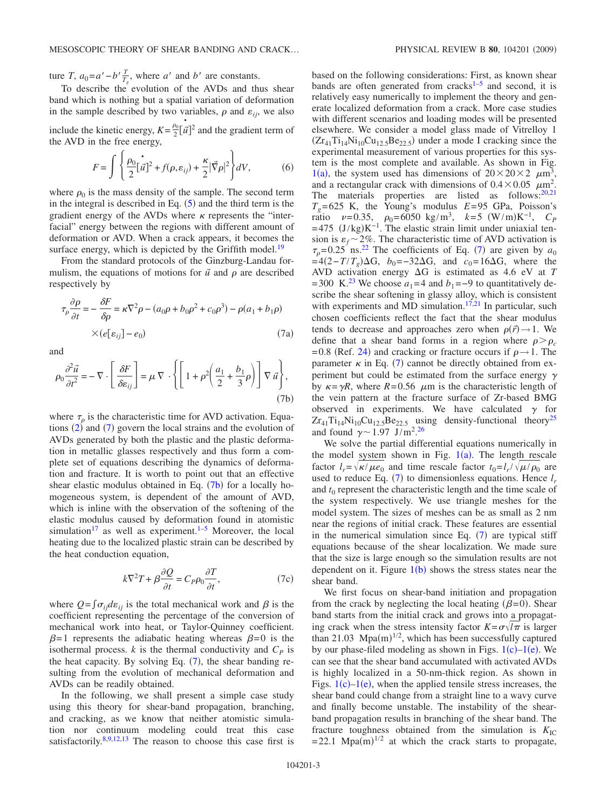ture *T*,  $a_0 = a' - b' \frac{T}{T_s}$ , where *a'* and *b'* are constants.

the AVD in the free energy,

To describe the evolution of the AVDs and thus shear band which is nothing but a spatial variation of deformation in the sample described by two variables,  $\rho$  and  $\varepsilon_{ij}$ , we also include the kinetic energy,  $K = \frac{\rho_0}{2} [\vec{u}]^2$  and the gradient term of

$$
F = \int \left\{ \frac{\rho_0}{2} [\vec{u}]^2 + f(\rho, \varepsilon_{ij}) + \frac{\kappa}{2} |\vec{\nabla}\rho|^2 \right\} dV, \tag{6}
$$

where  $\rho_0$  is the mass density of the sample. The second term in the integral is described in Eq.  $(5)$  $(5)$  $(5)$  and the third term is the gradient energy of the AVDs where  $\kappa$  represents the "interfacial" energy between the regions with different amount of deformation or AVD. When a crack appears, it becomes the surface energy, which is depicted by the Griffith model.<sup>19</sup>

From the standard protocols of the Ginzburg-Landau formulism, the equations of motions for  $\vec{u}$  and  $\rho$  are described respectively by

<span id="page-2-0"></span>
$$
\tau_{\rho} \frac{\partial \rho}{\partial t} = -\frac{\partial F}{\partial \rho} = \kappa \nabla^2 \rho - (a_0 \rho + b_0 \rho^2 + c_0 \rho^3) - \rho (a_1 + b_1 \rho)
$$
  
× $(e[e_{ij}] - e_0)$  (7a)

and

<span id="page-2-1"></span>
$$
\rho_0 \frac{\partial^2 \vec{u}}{\partial t^2} = -\nabla \cdot \left[ \frac{\delta F}{\delta \varepsilon_{ij}} \right] = \mu \nabla \cdot \left\{ \left[ 1 + \rho^2 \left( \frac{a_1}{2} + \frac{b_1}{3} \rho \right) \right] \nabla \vec{u} \right\},\tag{7b}
$$

where  $\tau_{\rho}$  is the characteristic time for AVD activation. Equations  $(2)$  $(2)$  $(2)$  and  $(7)$  $(7)$  $(7)$  govern the local strains and the evolution of AVDs generated by both the plastic and the plastic deformation in metallic glasses respectively and thus form a complete set of equations describing the dynamics of deformation and fracture. It is worth to point out that an effective shear elastic modulus obtained in Eq.  $(7b)$  $(7b)$  $(7b)$  for a locally homogeneous system, is dependent of the amount of AVD, which is inline with the observation of the softening of the elastic modulus caused by deformation found in atomistic simulation<sup>17</sup> as well as experiment.<sup>1[–5](#page-5-4)</sup> Moreover, the local heating due to the localized plastic strain can be described by the heat conduction equation,

$$
k\nabla^2 T + \beta \frac{\partial Q}{\partial t} = C_P \rho_0 \frac{\partial T}{\partial t},\tag{7c}
$$

<span id="page-2-2"></span>where  $Q = \int \sigma_{ij} d\varepsilon_{ij}$  is the total mechanical work and  $\beta$  is the coefficient representing the percentage of the conversion of mechanical work into heat, or Taylor-Quinney coefficient.  $\beta$ =1 represents the adiabatic heating whereas  $\beta$ =0 is the isothermal process.  $k$  is the thermal conductivity and  $C_p$  is the heat capacity. By solving Eq.  $(7)$  $(7)$  $(7)$ , the shear banding resulting from the evolution of mechanical deformation and AVDs can be readily obtained.

In the following, we shall present a simple case study using this theory for shear-band propagation, branching, and cracking, as we know that neither atomistic simulation nor continuum modeling could treat this case satisfactorily. $8,9,12,13$  $8,9,12,13$  $8,9,12,13$  $8,9,12,13$  The reason to choose this case first is

based on the following considerations: First, as known shear bands are often generated from cracks $1-5$  and second, it is relatively easy numerically to implement the theory and generate localized deformation from a crack. More case studies with different scenarios and loading modes will be presented elsewhere. We consider a model glass made of Vitrelloy 1  $(Zr_{41}Ti_{14}Ni_{10}Cu_{12.5}Be_{22.5})$  under a mode I cracking since the experimental measurement of various properties for this system is the most complete and available. As shown in Fig. [1](#page-3-0)(a), the system used has dimensions of  $20 \times 20 \times 2 \mu m^3$ , and a rectangular crack with dimensions of  $0.4 \times 0.05$   $\mu$ m<sup>2</sup>. The materials properties are listed as follows:<sup>20[,21](#page-5-21)</sup>  $T<sub>g</sub>=625$  K, the Young's modulus  $E=95$  GPa, Poisson's ratio  $\nu = 0.35$ ,  $\rho_0 = 6050 \text{ kg/m}^3$ ,  $k = 5 \text{ (W/m)}\text{K}^{-1}$ ,  $C_P$  $=$  475 (J/kg)K<sup>-1</sup>. The elastic strain limit under uniaxial tension is  $\varepsilon_f \sim 2\%$ . The characteristic time of AVD activation is  $\tau_{\rho}$ =0.25<sup>'</sup> ns.<sup>22</sup> The coefficients of Eq. ([7](#page-2-0)) are given by  $a_0$  $= 4(2 - T/T_g)\Delta G$ ,  $b_0 = -32\Delta G$ , and  $c_0 = 16\Delta G$ , where the AVD activation energy G is estimated as 4.6 eV at *T* = 300 K.<sup>[23](#page-5-23)</sup> We choose  $a_1$ =4 and  $b_1$ =−9 to quantitatively describe the shear softening in glassy alloy, which is consistent with experiments and MD simulation.<sup>17[,21](#page-5-21)</sup> In particular, such chosen coefficients reflect the fact that the shear modulus tends to decrease and approaches zero when  $\rho(\vec{r}) \rightarrow 1$ . We define that a shear band forms in a region where  $\rho > \rho_c$ = 0.8 (Ref. [24](#page-5-24)) and cracking or fracture occurs if  $\rho \rightarrow 1$ . The parameter  $\kappa$  in Eq. ([7](#page-2-0)) cannot be directly obtained from experiment but could be estimated from the surface energy  $\gamma$ by  $\kappa = \gamma R$ , where  $R = 0.56$   $\mu$ m is the characteristic length of the vein pattern at the fracture surface of Zr-based BMG observed in experiments. We have calculated  $\gamma$  for  $Zr_{41}Ti_{14}Ni_{10}Cu_{12.5}Be_{22.5}$  using density-functional theory<sup>25</sup> and found  $\gamma \sim 1.97 \text{ J/m}^2$ . [26](#page-5-26)

We solve the partial differential equations numerically in the model system shown in Fig.  $1(a)$  $1(a)$ . The length rescale factor  $l_r = \sqrt{\kappa/\mu e_0}$  and time rescale factor  $t_0 = l_r/\sqrt{\mu/\rho_0}$  are used to reduce Eq.  $(7)$  $(7)$  $(7)$  to dimensionless equations. Hence  $l<sub>r</sub>$ and  $t_0$  represent the characteristic length and the time scale of the system respectively. We use triangle meshes for the model system. The sizes of meshes can be as small as 2 nm near the regions of initial crack. These features are essential in the numerical simulation since Eq.  $(7)$  $(7)$  $(7)$  are typical stiff equations because of the shear localization. We made sure that the size is large enough so the simulation results are not dependent on it. Figure  $1(b)$  $1(b)$  shows the stress states near the shear band.

We first focus on shear-band initiation and propagation from the crack by neglecting the local heating  $(\beta = 0)$ . Shear band starts from the initial crack and grows into a propagating crack when the stress intensity factor  $K = \sigma \sqrt{l \pi}$  is larger than 21.03 Mpa $(m)^{1/2}$ , which has been successfully captured by our phase-filed modeling as shown in Figs.  $1(c) - 1(e)$  $1(c) - 1(e)$ . We can see that the shear band accumulated with activated AVDs is highly localized in a 50-nm-thick region. As shown in Figs.  $1(c) - 1(e)$  $1(c) - 1(e)$ , when the applied tensile stress increases, the shear band could change from a straight line to a wavy curve and finally become unstable. The instability of the shearband propagation results in branching of the shear band. The fracture toughness obtained from the simulation is  $K_{\text{IC}}$  $= 22.1$  Mpa(m)<sup>1/2</sup> at which the crack starts to propagate,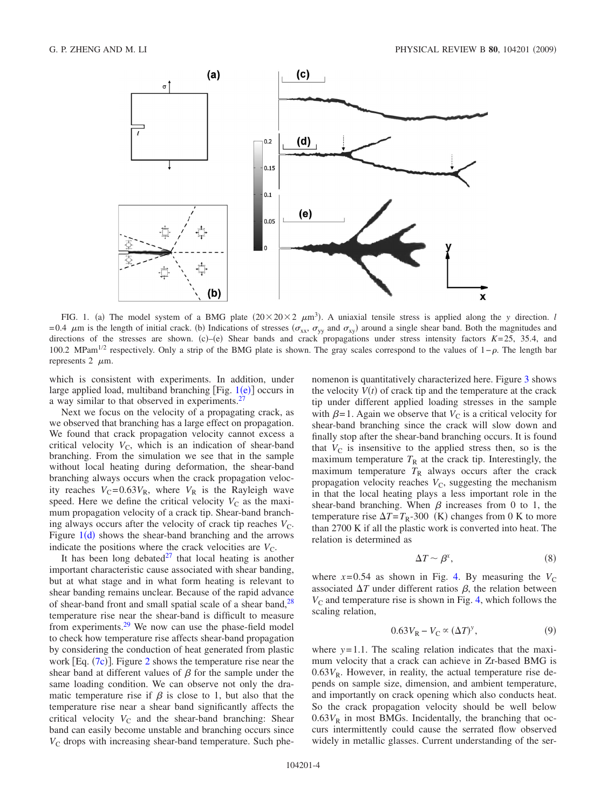<span id="page-3-0"></span>

FIG. 1. (a) The model system of a BMG plate  $(20 \times 20 \times 2 \mu m^3)$ . A uniaxial tensile stress is applied along the *y* direction. *l* =0.4  $\mu$ m is the length of initial crack. (b) Indications of stresses ( $\sigma_{xx}$ ,  $\sigma_{yy}$  and  $\sigma_{xy}$ ) around a single shear band. Both the magnitudes and directions of the stresses are shown. (c)–(e) Shear bands and crack propagations under stress intensity factors  $K=25$ , 35.4, and 100.2 MPam<sup>1/2</sup> respectively. Only a strip of the BMG plate is shown. The gray scales correspond to the values of 1– $\rho$ . The length bar represents  $2 \mu m$ .

which is consistent with experiments. In addition, under large applied load, multiband branching [Fig.  $1(e)$  $1(e)$ ] occurs in a way similar to that observed in experiments.<sup>27</sup>

Next we focus on the velocity of a propagating crack, as we observed that branching has a large effect on propagation. We found that crack propagation velocity cannot excess a critical velocity  $V_C$ , which is an indication of shear-band branching. From the simulation we see that in the sample without local heating during deformation, the shear-band branching always occurs when the crack propagation velocity reaches  $V_C = 0.63V_R$ , where  $V_R$  is the Rayleigh wave speed. Here we define the critical velocity  $V_C$  as the maximum propagation velocity of a crack tip. Shear-band branching always occurs after the velocity of crack tip reaches  $V<sub>C</sub>$ . Figure  $1(d)$  $1(d)$  shows the shear-band branching and the arrows indicate the positions where the crack velocities are  $V_C$ .

It has been long debated $^{27}$  that local heating is another important characteristic cause associated with shear banding, but at what stage and in what form heating is relevant to shear banding remains unclear. Because of the rapid advance of shear-band front and small spatial scale of a shear band, $^{28}$ temperature rise near the shear-band is difficult to measure from experiments[.29](#page-5-29) We now can use the phase-field model to check how temperature rise affects shear-band propagation by considering the conduction of heat generated from plastic work [Eq.  $(7c)$  $(7c)$  $(7c)$ ]. Figure [2](#page-4-0) shows the temperature rise near the shear band at different values of  $\beta$  for the sample under the same loading condition. We can observe not only the dramatic temperature rise if  $\beta$  is close to 1, but also that the temperature rise near a shear band significantly affects the critical velocity  $V_C$  and the shear-band branching: Shear band can easily become unstable and branching occurs since  $V<sub>C</sub>$  drops with increasing shear-band temperature. Such phenomenon is quantitatively characterized here. Figure [3](#page-4-1) shows the velocity  $V(t)$  of crack tip and the temperature at the crack tip under different applied loading stresses in the sample with  $\beta = 1$ . Again we observe that  $V_C$  is a critical velocity for shear-band branching since the crack will slow down and finally stop after the shear-band branching occurs. It is found that  $V_{\rm C}$  is insensitive to the applied stress then, so is the maximum temperature  $T_R$  at the crack tip. Interestingly, the maximum temperature  $T_R$  always occurs after the crack propagation velocity reaches  $V_C$ , suggesting the mechanism in that the local heating plays a less important role in the shear-band branching. When  $\beta$  increases from 0 to 1, the temperature rise  $\Delta T = T_{\rm R}$ -300 (K) changes from 0 K to more than 2700 K if all the plastic work is converted into heat. The relation is determined as

$$
\Delta T \sim \beta^x,\tag{8}
$$

<span id="page-3-2"></span>where  $x=0.54$  as shown in Fig. [4.](#page-4-2) By measuring the  $V_C$ associated  $\Delta T$  under different ratios  $\beta$ , the relation between  $V_{\rm C}$  and temperature rise is shown in Fig. [4,](#page-4-2) which follows the scaling relation,

$$
0.63V_{\rm R} - V_{\rm C} \propto (\Delta T)^y,\tag{9}
$$

<span id="page-3-1"></span>where  $y=1.1$ . The scaling relation indicates that the maximum velocity that a crack can achieve in Zr-based BMG is  $0.63V_R$ . However, in reality, the actual temperature rise depends on sample size, dimension, and ambient temperature, and importantly on crack opening which also conducts heat. So the crack propagation velocity should be well below  $0.63V<sub>R</sub>$  in most BMGs. Incidentally, the branching that occurs intermittently could cause the serrated flow observed widely in metallic glasses. Current understanding of the ser-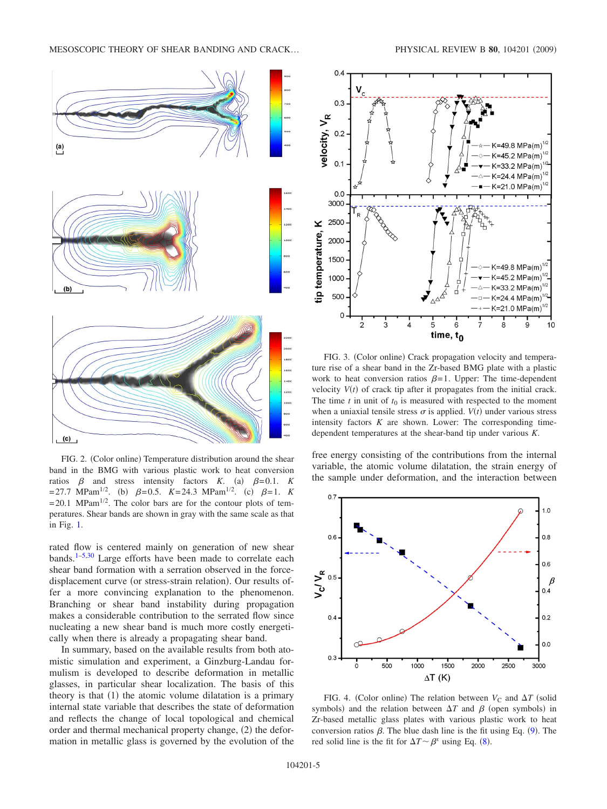<span id="page-4-0"></span>

FIG. 2. (Color online) Temperature distribution around the shear band in the BMG with various plastic work to heat conversion ratios  $\beta$  and stress intensity factors *K*. (a)  $\beta = 0.1$ . *K*  $= 27.7 \text{ MPam}^{1/2}$ . (b)  $\beta = 0.5$ . *K*= 24.3 MPam<sup>1/2</sup>. (c)  $\beta = 1$ . *K*  $= 20.1$  MPam<sup>1/2</sup>. The color bars are for the contour plots of temperatures. Shear bands are shown in gray with the same scale as that in Fig. [1.](#page-3-0)

rated flow is centered mainly on generation of new shear bands.<sup>1[–5](#page-5-4)[,30](#page-5-30)</sup> Large efforts have been made to correlate each shear band formation with a serration observed in the forcedisplacement curve (or stress-strain relation). Our results offer a more convincing explanation to the phenomenon. Branching or shear band instability during propagation makes a considerable contribution to the serrated flow since nucleating a new shear band is much more costly energetically when there is already a propagating shear band.

In summary, based on the available results from both atomistic simulation and experiment, a Ginzburg-Landau formulism is developed to describe deformation in metallic glasses, in particular shear localization. The basis of this theory is that (1) the atomic volume dilatation is a primary internal state variable that describes the state of deformation and reflects the change of local topological and chemical order and thermal mechanical property change, (2) the deformation in metallic glass is governed by the evolution of the

<span id="page-4-1"></span>

FIG. 3. (Color online) Crack propagation velocity and temperature rise of a shear band in the Zr-based BMG plate with a plastic work to heat conversion ratios  $\beta = 1$ . Upper: The time-dependent velocity  $V(t)$  of crack tip after it propagates from the initial crack. The time  $t$  in unit of  $t_0$  is measured with respected to the moment when a uniaxial tensile stress  $\sigma$  is applied. *V*(*t*) under various stress intensity factors *K* are shown. Lower: The corresponding timedependent temperatures at the shear-band tip under various *K*.

free energy consisting of the contributions from the internal variable, the atomic volume dilatation, the strain energy of the sample under deformation, and the interaction between

<span id="page-4-2"></span>

FIG. 4. (Color online) The relation between  $V_C$  and  $\Delta T$  (solid symbols) and the relation between  $\Delta T$  and  $\beta$  (open symbols) in Zr-based metallic glass plates with various plastic work to heat conversion ratios  $\beta$ . The blue dash line is the fit using Eq. ([9](#page-3-1)). The red solid line is the fit for  $\Delta T \sim \beta^x$  using Eq. ([8](#page-3-2)).